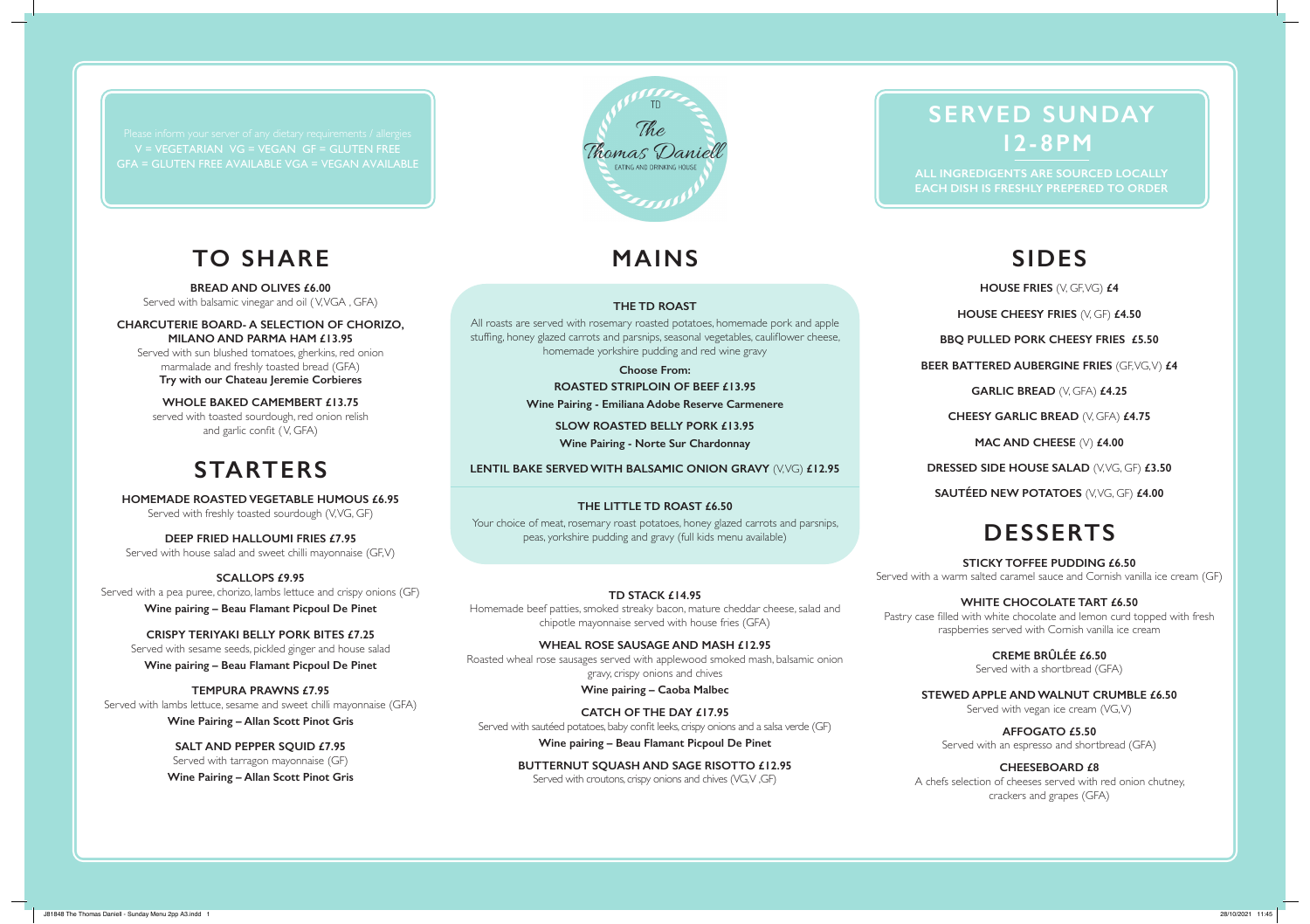### **TO SHARE**

**BREAD AND OLIVES £6.00**

Served with balsamic vinegar and oil ( V, VGA , GFA)

**CHARCUTERIE BOARD- A SELECTION OF CHORIZO, MILANO AND PARMA HAM £13.95** Served with sun blushed tomatoes, gherkins, red onion

marmalade and freshly toasted bread (GFA) **Try with our Chateau Jeremie Corbieres**

**WHOLE BAKED CAMEMBERT £13.75** served with toasted sourdough, red onion relish and garlic confit ( V, GFA)

## **STARTERS**

**HOMEMADE ROASTED VEGETABLE HUMOUS £6.95** Served with freshly toasted sourdough (V, VG, GF)

**DEEP FRIED HALLOUMI FRIES £7.95** Served with house salad and sweet chilli mayonnaise (GF, V)

**SCALLOPS £9.95** Served with a pea puree, chorizo, lambs lettuce and crispy onions (GF) **Wine pairing – Beau Flamant Picpoul De Pinet**

**CRISPY TERIYAKI BELLY PORK BITES £7.25** Served with sesame seeds, pickled ginger and house salad **Wine pairing – Beau Flamant Picpoul De Pinet**

**TEMPURA PRAWNS £7.95** Served with lambs lettuce, sesame and sweet chilli mayonnaise (GFA)

**Wine Pairing – Allan Scott Pinot Gris**

**SALT AND PEPPER SQUID £7.95** Served with tarragon mayonnaise (GF) **Wine Pairing – Allan Scott Pinot Gris**

# **MAINS**

Thomas Daniell

#### **THE TD ROAST**

All roasts are served with rosemary roasted potatoes, homemade pork and apple stuffng, honey glazed carrots and parsnips, seasonal vegetables, caulifower cheese, homemade yorkshire pudding and red wine gravy

> **Choose From: ROASTED STRIPLOIN OF BEEF £13.95 Wine Pairing - Emiliana Adobe Reserve Carmenere**

> > **SLOW ROASTED BELLY PORK £13.95 Wine Pairing - Norte Sur Chardonnay**

### **LENTIL BAKE SERVED WITH BALSAMIC ONION GRAVY** (V, VG) £12.95

### **THE LITTLE TD ROAST £6.50**

Your choice of meat, rosemary roast potatoes, honey glazed carrots and parsnips, peas, yorkshire pudding and gravy (full kids menu available)

#### **TD STACK £14.95**

Homemade beef patties, smoked streaky bacon, mature cheddar cheese, salad and chipotle mayonnaise served with house fries (GFA)

**WHEAL ROSE SAUSAGE AND MASH £12.95** Roasted wheal rose sausages served with applewood smoked mash, balsamic onion gravy, crispy onions and chives

**Wine pairing – Caoba Malbec**

**CATCH OF THE DAY £17.95** Served with sautéed potatoes, baby conft leeks, crispy onions and a salsa verde (GF) **Wine pairing – Beau Flamant Picpoul De Pinet**

> **BUTTERNUT SQUASH AND SAGE RISOTTO £12.95** Served with croutons, crispy onions and chives (VG,V,GF)

## **SERVED SUNDAY 12-8PM**

**EACH DISH IS FRESHLY PREPERED TO ORDER**

# **SIDES**

**HOUSE FRIES**  $( \vee, \vee, \vee, \vee, \vee, \vee)$  £4

**HOUSE CHEESY FRIES** (V, GF) **£4.50** 

**BBQ PULLED PORK CHEESY FRIES £5.50**

**BEER BATTERED AUBERGINE FRIES (GEVG, V) £4** 

**GARLIC BREAD** (V, GFA) **£4.25** 

**CHEESY GARLIC BREAD** (V, GFA) **£4.75**

**MAC AND CHEESE** (V) **£4.00**

**DRESSED SIDE HOUSE SALAD (V, VG, GF) £3.50** 

**SAUTÉED NEW POTATOES** (V, VG, GF) **£4.00** 

# **DESSERTS**

**STICKY TOFFEE PUDDING £6.50** Served with a warm salted caramel sauce and Cornish vanilla ice cream (GF)

**WHITE CHOCOLATE TART £6.50** Pastry case flled with white chocolate and lemon curd topped with fresh raspberries served with Cornish vanilla ice cream

> **CREME BRÛLÉE £6.50** Served with a shortbread (GFA)

**STEWED APPLE AND WALNUT CRUMBLE £6.50** Served with vegan ice cream (VG, V)

**AFFOGATO £5.50** Served with an espresso and shortbread (GFA)

**CHEESEBOARD £8** A chefs selection of cheeses served with red onion chutney, crackers and grapes (GFA)